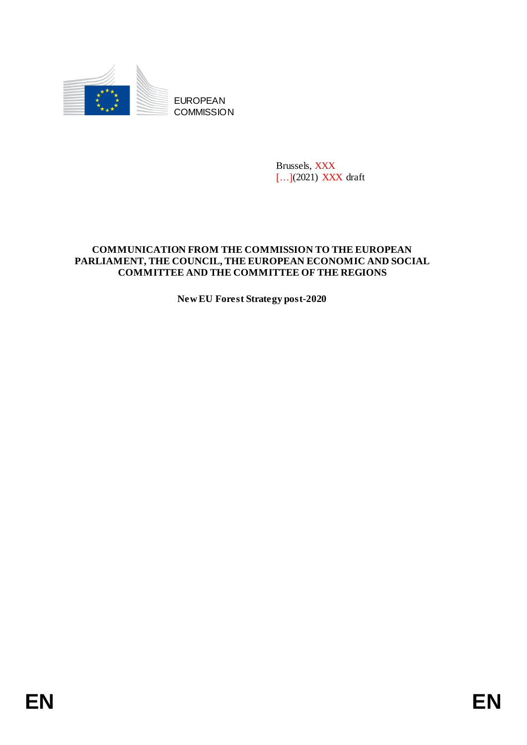

Brussels, XXX  $\left[\dots(2021)\right]$  XXX draft

# EUROPEAN<br>
ENGINEERICATION FROM THE COMMISSION TO THE EUROPEAN<br>
ENGINEERICATION FROM THE COMMISSION TO THE EUROPEAN<br>
PARLIAMENT, THE COUNCIL, THE EUROPEAN ECONOMIC AND SOCIAL<br>
COMMITTEE AND THE COMMITTEE OF THE REGIONS<br>
New **COMMUNICATION FROM THE COMMISSION TO THE EUROPEAN PARLIAMENT, THE COUNCIL, THE EUROPEAN ECONOMIC AND SOCIAL COMMITTEE AND THE COMMITTEE OF THE REGIONS**

**New EU Forest Strategy post-2020**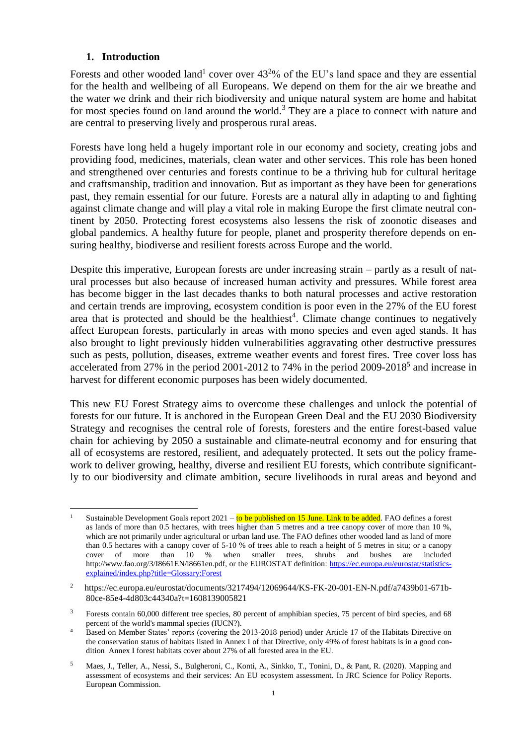### **1. Introduction**

 $\overline{a}$ 

Forests and other wooded land<sup>1</sup> cover over  $43^{2}\%$  of the EU's land space and they are essential for the health and wellbeing of all Europeans. We depend on them for the air we breathe and the water we drink and their rich biodiversity and unique natural system are home and habitat for most species found on land around the world.<sup>3</sup> They are a place to connect with nature and are central to preserving lively and prosperous rural areas.

Forests have long held a hugely important role in our economy and society, creating jobs and providing food, medicines, materials, clean water and other services. This role has been honed and strengthened over centuries and forests continue to be a thriving hub for cultural heritage and craftsmanship, tradition and innovation. But as important as they have been for generations past, they remain essential for our future. Forests are a natural ally in adapting to and fighting against climate change and will play a vital role in making Europe the first climate neutral continent by 2050. Protecting forest ecosystems also lessens the risk of zoonotic diseases and global pandemics. A healthy future for people, planet and prosperity therefore depends on ensuring healthy, biodiverse and resilient forests across Europe and the world.

Despite this imperative, European forests are under increasing strain – partly as a result of natural processes but also because of increased human activity and pressures. While forest area has become bigger in the last decades thanks to both natural processes and active restoration and certain trends are improving, ecosystem condition is poor even in the 27% of the EU forest area that is protected and should be the healthiest<sup>4</sup>. Climate change continues to negatively affect European forests, particularly in areas with mono species and even aged stands. It has also brought to light previously hidden vulnerabilities aggravating other destructive pressures such as pests, pollution, diseases, extreme weather events and forest fires. Tree cover loss has accelerated from 27% in the period 2001-2012 to 74% in the period 2009-2018<sup>5</sup> and increase in harvest for different economic purposes has been widely documented.

This new EU Forest Strategy aims to overcome these challenges and unlock the potential of forests for our future. It is anchored in the European Green Deal and the EU 2030 Biodiversity Strategy and recognises the central role of forests, foresters and the entire forest-based value chain for achieving by 2050 a sustainable and climate-neutral economy and for ensuring that all of ecosystems are restored, resilient, and adequately protected. It sets out the policy framework to deliver growing, healthy, diverse and resilient EU forests, which contribute significantly to our biodiversity and climate ambition, secure livelihoods in rural areas and beyond and

Sustainable Development Goals report  $2021 -$  to be published on 15 June. Link to be added. FAO defines a forest as lands of more than 0.5 hectares, with trees higher than 5 metres and a tree canopy cover of more than 10 %, which are not primarily under agricultural or urban land use. The FAO defines other wooded land as land of more than 0.5 hectares with a canopy cover of 5-10 % of trees able to reach a height of 5 metres in situ; or a canopy cover of more than 10 % when smaller trees, shrubs and bushes are included http://www.fao.org/3/I8661EN/i8661en.pdf, or the EUROSTAT definition: [https://ec.europa.eu/eurostat/statistics](https://ec.europa.eu/eurostat/statistics-explained/index.php?title=Glossary:Forest)[explained/index.php?title=Glossary:Forest](https://ec.europa.eu/eurostat/statistics-explained/index.php?title=Glossary:Forest)

<sup>2</sup> https://ec.europa.eu/eurostat/documents/3217494/12069644/KS-FK-20-001-EN-N.pdf/a7439b01-671b-80ce-85e4-4d803c44340a?t=1608139005821

<sup>&</sup>lt;sup>3</sup> Forests contain 60,000 different tree species, 80 percent of amphibian species, 75 percent of bird species, and 68 percent of the world's mammal species (IUCN?).

<sup>&</sup>lt;sup>4</sup> Based on Member States' reports (covering the 2013-2018 period) under Article 17 of the Habitats Directive on the conservation status of habitats listed in Annex I of that Directive, only 49% of forest habitats is in a good condition Annex I forest habitats cover about 27% of all forested area in the EU.

<sup>5</sup> Maes, J., Teller, A., Nessi, S., Bulgheroni, C., Konti, A., Sinkko, T., Tonini, D., & Pant, R. (2020). Mapping and assessment of ecosystems and their services: An EU ecosystem assessment. In JRC Science for Policy Reports. European Commission.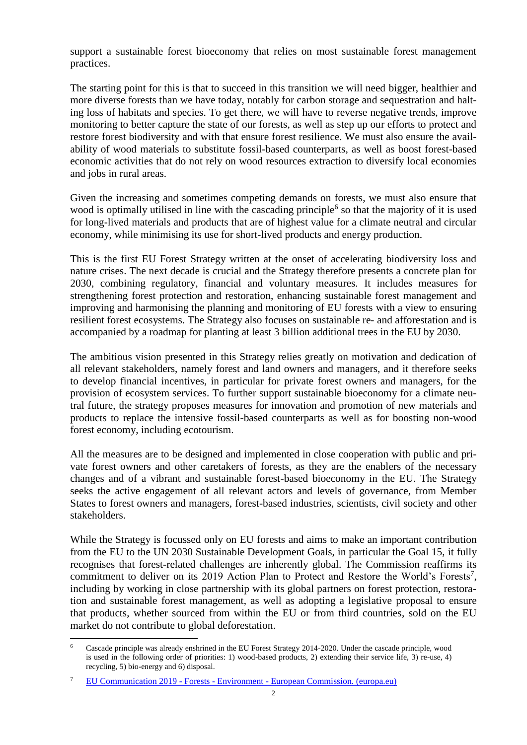support a sustainable forest bioeconomy that relies on most sustainable forest management practices.

The starting point for this is that to succeed in this transition we will need bigger, healthier and more diverse forests than we have today, notably for carbon storage and sequestration and halting loss of habitats and species. To get there, we will have to reverse negative trends, improve monitoring to better capture the state of our forests, as well as step up our efforts to protect and restore forest biodiversity and with that ensure forest resilience. We must also ensure the availability of wood materials to substitute fossil-based counterparts, as well as boost forest-based economic activities that do not rely on wood resources extraction to diversify local economies and jobs in rural areas.

Given the increasing and sometimes competing demands on forests, we must also ensure that wood is optimally utilised in line with the cascading principle<sup>6</sup> so that the majority of it is used for long-lived materials and products that are of highest value for a climate neutral and circular economy, while minimising its use for short-lived products and energy production.

This is the first EU Forest Strategy written at the onset of accelerating biodiversity loss and nature crises. The next decade is crucial and the Strategy therefore presents a concrete plan for 2030, combining regulatory, financial and voluntary measures. It includes measures for strengthening forest protection and restoration, enhancing sustainable forest management and improving and harmonising the planning and monitoring of EU forests with a view to ensuring resilient forest ecosystems. The Strategy also focuses on sustainable re- and afforestation and is accompanied by a roadmap for planting at least 3 billion additional trees in the EU by 2030.

The ambitious vision presented in this Strategy relies greatly on motivation and dedication of all relevant stakeholders, namely forest and land owners and managers, and it therefore seeks to develop financial incentives, in particular for private forest owners and managers, for the provision of ecosystem services. To further support sustainable bioeconomy for a climate neutral future, the strategy proposes measures for innovation and promotion of new materials and products to replace the intensive fossil-based counterparts as well as for boosting non-wood forest economy, including ecotourism.

All the measures are to be designed and implemented in close cooperation with public and private forest owners and other caretakers of forests, as they are the enablers of the necessary changes and of a vibrant and sustainable forest-based bioeconomy in the EU. The Strategy seeks the active engagement of all relevant actors and levels of governance, from Member States to forest owners and managers, forest-based industries, scientists, civil society and other stakeholders.

While the Strategy is focussed only on EU forests and aims to make an important contribution from the EU to the UN 2030 Sustainable Development Goals, in particular the Goal 15, it fully recognises that forest-related challenges are inherently global. The Commission reaffirms its commitment to deliver on its 2019 Action Plan to Protect and Restore the World's Forests<sup>7</sup>, including by working in close partnership with its global partners on forest protection, restoration and sustainable forest management, as well as adopting a legislative proposal to ensure that products, whether sourced from within the EU or from third countries, sold on the EU market do not contribute to global deforestation.

<sup>6</sup> Cascade principle was already enshrined in the EU Forest Strategy 2014-2020. Under the cascade principle, wood is used in the following order of priorities: 1) wood-based products, 2) extending their service life, 3) re-use, 4) recycling, 5) bio-energy and 6) disposal.

<sup>7</sup> EU Communication 2019 - Forests - Environment - [European Commission. \(europa.eu\)](https://ec.europa.eu/environment/forests/eu_comm_2019.htm)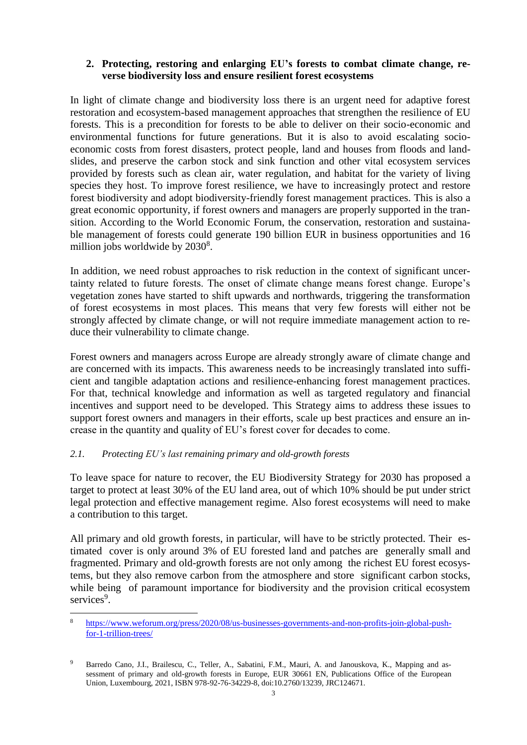## **2. Protecting, restoring and enlarging EU's forests to combat climate change, reverse biodiversity loss and ensure resilient forest ecosystems**

In light of climate change and biodiversity loss there is an urgent need for adaptive forest restoration and ecosystem-based management approaches that strengthen the resilience of EU forests. This is a precondition for forests to be able to deliver on their socio-economic and environmental functions for future generations. But it is also to avoid escalating socioeconomic costs from forest disasters, protect people, land and houses from floods and landslides, and preserve the carbon stock and sink function and other vital ecosystem services provided by forests such as clean air, water regulation, and habitat for the variety of living species they host. To improve forest resilience, we have to increasingly protect and restore forest biodiversity and adopt biodiversity-friendly forest management practices. This is also a great economic opportunity, if forest owners and managers are properly supported in the transition. According to the World Economic Forum, the conservation, restoration and sustainable management of forests could generate 190 billion EUR in business opportunities and 16 million jobs worldwide by 2030<sup>8</sup>.

In addition, we need robust approaches to risk reduction in the context of significant uncertainty related to future forests. The onset of climate change means forest change. Europe's vegetation zones have started to shift upwards and northwards, triggering the transformation of forest ecosystems in most places. This means that very few forests will either not be strongly affected by climate change, or will not require immediate management action to reduce their vulnerability to climate change.

Forest owners and managers across Europe are already strongly aware of climate change and are concerned with its impacts. This awareness needs to be increasingly translated into sufficient and tangible adaptation actions and resilience-enhancing forest management practices. For that, technical knowledge and information as well as targeted regulatory and financial incentives and support need to be developed. This Strategy aims to address these issues to support forest owners and managers in their efforts, scale up best practices and ensure an increase in the quantity and quality of EU's forest cover for decades to come.

### *2.1. Protecting EU's last remaining primary and old-growth forests*

To leave space for nature to recover, the EU Biodiversity Strategy for 2030 has proposed a target to protect at least 30% of the EU land area, out of which 10% should be put under strict legal protection and effective management regime. Also forest ecosystems will need to make a contribution to this target.

All primary and old growth forests, in particular, will have to be strictly protected. Their estimated cover is only around 3% of EU forested land and patches are generally small and fragmented. Primary and old-growth forests are not only among the richest EU forest ecosystems, but they also remove carbon from the atmosphere and store significant carbon stocks, while being of paramount importance for biodiversity and the provision critical ecosystem services<sup>9</sup>.

 $\overline{a}$ <sup>8</sup> [https://www.weforum.org/press/2020/08/us-businesses-governments-and-non-profits-join-global-push](https://www.weforum.org/press/2020/08/us-businesses-governments-and-non-profits-join-global-push-for-1-trillion-trees/)[for-1-trillion-trees/](https://www.weforum.org/press/2020/08/us-businesses-governments-and-non-profits-join-global-push-for-1-trillion-trees/)

<sup>&</sup>lt;sup>9</sup> Barredo Cano, J.I., Brailescu, C., Teller, A., Sabatini, F.M., Mauri, A. and Janouskova, K., Mapping and assessment of primary and old-growth forests in Europe, EUR 30661 EN, Publications Office of the European Union, Luxembourg, 2021, ISBN 978-92-76-34229-8, doi:10.2760/13239, JRC124671.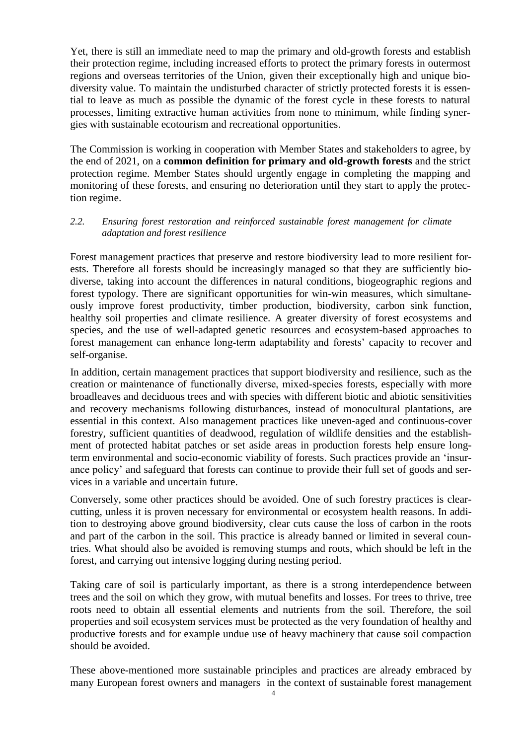Yet, there is still an immediate need to map the primary and old-growth forests and establish their protection regime, including increased efforts to protect the primary forests in outermost regions and overseas territories of the Union, given their exceptionally high and unique biodiversity value. To maintain the undisturbed character of strictly protected forests it is essential to leave as much as possible the dynamic of the forest cycle in these forests to natural processes, limiting extractive human activities from none to minimum, while finding synergies with sustainable ecotourism and recreational opportunities.

The Commission is working in cooperation with Member States and stakeholders to agree, by the end of 2021, on a **common definition for primary and old-growth forests** and the strict protection regime. Member States should urgently engage in completing the mapping and monitoring of these forests, and ensuring no deterioration until they start to apply the protection regime.

### *2.2. Ensuring forest restoration and reinforced sustainable forest management for climate adaptation and forest resilience*

Forest management practices that preserve and restore biodiversity lead to more resilient forests. Therefore all forests should be increasingly managed so that they are sufficiently biodiverse, taking into account the differences in natural conditions, biogeographic regions and forest typology. There are significant opportunities for win-win measures, which simultaneously improve forest productivity, timber production, biodiversity, carbon sink function, healthy soil properties and climate resilience. A greater diversity of forest ecosystems and species, and the use of well-adapted genetic resources and ecosystem-based approaches to forest management can enhance long-term adaptability and forests' capacity to recover and self-organise.

In addition, certain management practices that support biodiversity and resilience, such as the creation or maintenance of functionally diverse, mixed‐species forests, especially with more broadleaves and deciduous trees and with species with different biotic and abiotic sensitivities and recovery mechanisms following disturbances, instead of monocultural plantations, are essential in this context. Also management practices like uneven-aged and continuous-cover forestry, sufficient quantities of deadwood, regulation of wildlife densities and the establishment of protected habitat patches or set aside areas in production forests help ensure longterm environmental and socio-economic viability of forests. Such practices provide an 'insurance policy' and safeguard that forests can continue to provide their full set of goods and services in a variable and uncertain future.

Conversely, some other practices should be avoided. One of such forestry practices is clearcutting, unless it is proven necessary for environmental or ecosystem health reasons. In addition to destroying above ground biodiversity, clear cuts cause the loss of carbon in the roots and part of the carbon in the soil. This practice is already banned or limited in several countries. What should also be avoided is removing stumps and roots, which should be left in the forest, and carrying out intensive logging during nesting period.

Taking care of soil is particularly important, as there is a strong interdependence between trees and the soil on which they grow, with mutual benefits and losses. For trees to thrive, tree roots need to obtain all essential elements and nutrients from the soil. Therefore, the soil properties and soil ecosystem services must be protected as the very foundation of healthy and productive forests and for example undue use of heavy machinery that cause soil compaction should be avoided.

These above-mentioned more sustainable principles and practices are already embraced by many European forest owners and managers in the context of sustainable forest management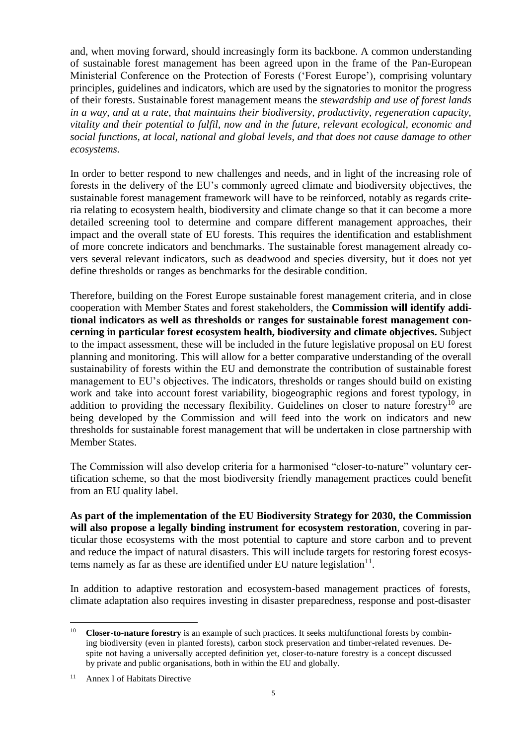and, when moving forward, should increasingly form its backbone. A common understanding of sustainable forest management has been agreed upon in the frame of the Pan-European Ministerial Conference on the Protection of Forests ('Forest Europe'), comprising voluntary principles, guidelines and indicators, which are used by the signatories to monitor the progress of their forests. Sustainable forest management means the *stewardship and use of forest lands in a way, and at a rate, that maintains their biodiversity, productivity, regeneration capacity, vitality and their potential to fulfil, now and in the future, relevant ecological, economic and social functions, at local, national and global levels, and that does not cause damage to other ecosystems.* 

In order to better respond to new challenges and needs, and in light of the increasing role of forests in the delivery of the EU's commonly agreed climate and biodiversity objectives, the sustainable forest management framework will have to be reinforced, notably as regards criteria relating to ecosystem health, biodiversity and climate change so that it can become a more detailed screening tool to determine and compare different management approaches, their impact and the overall state of EU forests. This requires the identification and establishment of more concrete indicators and benchmarks. The sustainable forest management already covers several relevant indicators, such as deadwood and species diversity, but it does not yet define thresholds or ranges as benchmarks for the desirable condition.

Therefore, building on the Forest Europe sustainable forest management criteria, and in close cooperation with Member States and forest stakeholders, the **Commission will identify additional indicators as well as thresholds or ranges for sustainable forest management concerning in particular forest ecosystem health, biodiversity and climate objectives.** Subject to the impact assessment, these will be included in the future legislative proposal on EU forest planning and monitoring. This will allow for a better comparative understanding of the overall sustainability of forests within the EU and demonstrate the contribution of sustainable forest management to EU's objectives. The indicators, thresholds or ranges should build on existing work and take into account forest variability, biogeographic regions and forest typology, in addition to providing the necessary flexibility. Guidelines on closer to nature forestry<sup>10</sup> are being developed by the Commission and will feed into the work on indicators and new thresholds for sustainable forest management that will be undertaken in close partnership with Member States.

The Commission will also develop criteria for a harmonised "closer-to-nature" voluntary certification scheme, so that the most biodiversity friendly management practices could benefit from an EU quality label.

**As part of the implementation of the EU Biodiversity Strategy for 2030, the Commission will also propose a legally binding instrument for ecosystem restoration**, covering in particular those ecosystems with the most potential to capture and store carbon and to prevent and reduce the impact of natural disasters. This will include targets for restoring forest ecosystems namely as far as these are identified under EU nature legislation $^{11}$ .

In addition to adaptive restoration and ecosystem-based management practices of forests, climate adaptation also requires investing in disaster preparedness, response and post-disaster

<sup>&</sup>lt;sup>10</sup> **Closer-to-nature forestry** is an example of such practices. It seeks multifunctional forests by combining biodiversity (even in planted forests), carbon stock preservation and timber-related revenues. Despite not having a universally accepted definition yet, closer-to-nature forestry is a concept discussed by private and public organisations, both in within the EU and globally.

<sup>&</sup>lt;sup>11</sup> Annex I of Habitats Directive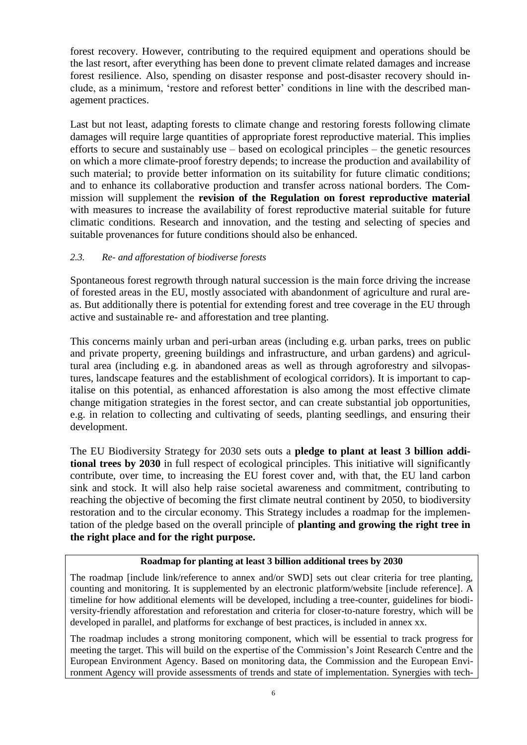forest recovery. However, contributing to the required equipment and operations should be the last resort, after everything has been done to prevent climate related damages and increase forest resilience. Also, spending on disaster response and post-disaster recovery should include, as a minimum, 'restore and reforest better' conditions in line with the described management practices.

Last but not least, adapting forests to climate change and restoring forests following climate damages will require large quantities of appropriate forest reproductive material. This implies efforts to secure and sustainably use – based on ecological principles – the genetic resources on which a more climate-proof forestry depends; to increase the production and availability of such material; to provide better information on its suitability for future climatic conditions; and to enhance its collaborative production and transfer across national borders. The Commission will supplement the **revision of the Regulation on forest reproductive material** with measures to increase the availability of forest reproductive material suitable for future climatic conditions. Research and innovation, and the testing and selecting of species and suitable provenances for future conditions should also be enhanced.

## *2.3. Re- and afforestation of biodiverse forests*

Spontaneous forest regrowth through natural succession is the main force driving the increase of forested areas in the EU, mostly associated with abandonment of agriculture and rural areas. But additionally there is potential for extending forest and tree coverage in the EU through active and sustainable re- and afforestation and tree planting.

This concerns mainly urban and peri-urban areas (including e.g. urban parks, trees on public and private property, greening buildings and infrastructure, and urban gardens) and agricultural area (including e.g. in abandoned areas as well as through agroforestry and silvopastures, landscape features and the establishment of ecological corridors). It is important to capitalise on this potential, as enhanced afforestation is also among the most effective climate change mitigation strategies in the forest sector, and can create substantial job opportunities, e.g. in relation to collecting and cultivating of seeds, planting seedlings, and ensuring their development.

The EU Biodiversity Strategy for 2030 sets outs a **pledge to plant at least 3 billion additional trees by 2030** in full respect of ecological principles. This initiative will significantly contribute, over time, to increasing the EU forest cover and, with that, the EU land carbon sink and stock. It will also help raise societal awareness and commitment, contributing to reaching the objective of becoming the first climate neutral continent by 2050, to biodiversity restoration and to the circular economy. This Strategy includes a roadmap for the implementation of the pledge based on the overall principle of **planting and growing the right tree in the right place and for the right purpose.**

### **Roadmap for planting at least 3 billion additional trees by 2030**

The roadmap [include link/reference to annex and/or SWD] sets out clear criteria for tree planting, counting and monitoring. It is supplemented by an electronic platform/website [include reference]. A timeline for how additional elements will be developed, including a tree-counter, guidelines for biodiversity-friendly afforestation and reforestation and criteria for closer-to-nature forestry, which will be developed in parallel, and platforms for exchange of best practices, is included in annex xx.

The roadmap includes a strong monitoring component, which will be essential to track progress for meeting the target. This will build on the expertise of the Commission's Joint Research Centre and the European Environment Agency. Based on monitoring data, the Commission and the European Environment Agency will provide assessments of trends and state of implementation. Synergies with tech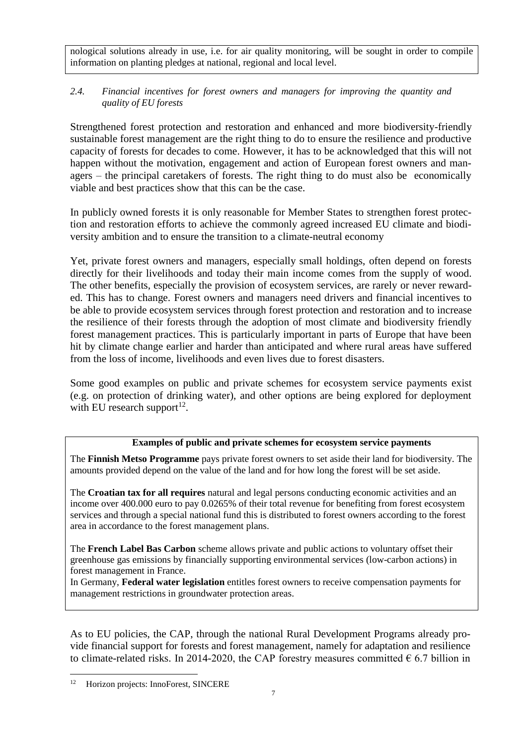nological solutions already in use, i.e. for air quality monitoring, will be sought in order to compile information on planting pledges at national, regional and local level.

### *2.4. Financial incentives for forest owners and managers for improving the quantity and quality of EU forests*

Strengthened forest protection and restoration and enhanced and more biodiversity-friendly sustainable forest management are the right thing to do to ensure the resilience and productive capacity of forests for decades to come. However, it has to be acknowledged that this will not happen without the motivation, engagement and action of European forest owners and managers – the principal caretakers of forests. The right thing to do must also be economically viable and best practices show that this can be the case.

In publicly owned forests it is only reasonable for Member States to strengthen forest protection and restoration efforts to achieve the commonly agreed increased EU climate and biodiversity ambition and to ensure the transition to a climate-neutral economy

Yet, private forest owners and managers, especially small holdings, often depend on forests directly for their livelihoods and today their main income comes from the supply of wood. The other benefits, especially the provision of ecosystem services, are rarely or never rewarded. This has to change. Forest owners and managers need drivers and financial incentives to be able to provide ecosystem services through forest protection and restoration and to increase the resilience of their forests through the adoption of most climate and biodiversity friendly forest management practices. This is particularly important in parts of Europe that have been hit by climate change earlier and harder than anticipated and where rural areas have suffered from the loss of income, livelihoods and even lives due to forest disasters.

Some good examples on public and private schemes for ecosystem service payments exist (e.g. on protection of drinking water), and other options are being explored for deployment with EU research support<sup>12</sup>.

### **Examples of public and private schemes for ecosystem service payments**

The **Finnish Metso Programme** pays private forest owners to set aside their land for biodiversity. The amounts provided depend on the value of the land and for how long the forest will be set aside.

The **Croatian tax for all requires** natural and legal persons conducting economic activities and an income over 400.000 euro to pay 0.0265% of their total revenue for benefiting from forest ecosystem services and through a special national fund this is distributed to forest owners according to the forest area in accordance to the forest management plans.

The **French Label Bas Carbon** scheme allows private and public actions to voluntary offset their greenhouse gas emissions by financially supporting environmental services (low-carbon actions) in forest management in France.

In Germany, **Federal water legislation** entitles forest owners to receive compensation payments for management restrictions in groundwater protection areas.

As to EU policies, the CAP, through the national Rural Development Programs already provide financial support for forests and forest management, namely for adaptation and resilience to climate-related risks. In 2014-2020, the CAP forestry measures committed  $\epsilon$  6.7 billion in

 $\overline{a}$ <sup>12</sup> Horizon projects: InnoForest, SINCERE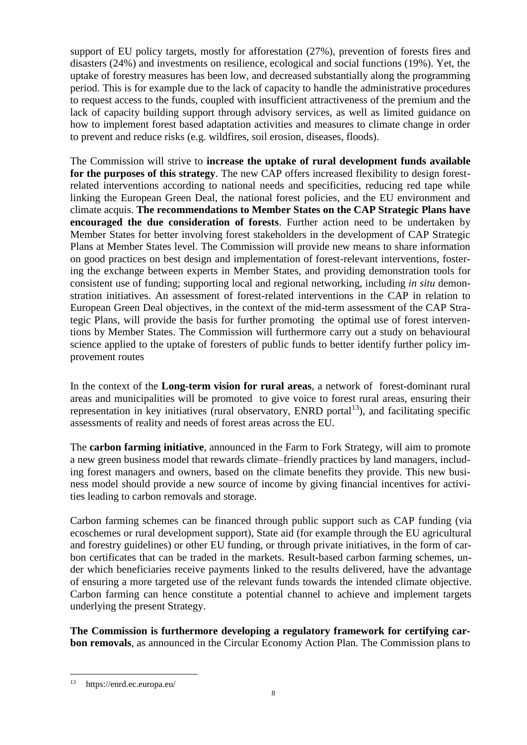support of EU policy targets, mostly for afforestation (27%), prevention of forests fires and disasters (24%) and investments on resilience, ecological and social functions (19%). Yet, the uptake of forestry measures has been low, and decreased substantially along the programming period. This is for example due to the lack of capacity to handle the administrative procedures to request access to the funds, coupled with insufficient attractiveness of the premium and the lack of capacity building support through advisory services, as well as limited guidance on how to implement forest based adaptation activities and measures to climate change in order to prevent and reduce risks (e.g. wildfires, soil erosion, diseases, floods).

The Commission will strive to **increase the uptake of rural development funds available for the purposes of this strategy**. The new CAP offers increased flexibility to design forestrelated interventions according to national needs and specificities, reducing red tape while linking the European Green Deal, the national forest policies, and the EU environment and climate acquis. **The recommendations to Member States on the CAP Strategic Plans have encouraged the due consideration of forests**. Further action need to be undertaken by Member States for better involving forest stakeholders in the development of CAP Strategic Plans at Member States level. The Commission will provide new means to share information on good practices on best design and implementation of forest-relevant interventions, fostering the exchange between experts in Member States, and providing demonstration tools for consistent use of funding; supporting local and regional networking, including *in situ* demonstration initiatives. An assessment of forest-related interventions in the CAP in relation to European Green Deal objectives, in the context of the mid-term assessment of the CAP Strategic Plans, will provide the basis for further promoting the optimal use of forest interventions by Member States. The Commission will furthermore carry out a study on behavioural science applied to the uptake of foresters of public funds to better identify further policy improvement routes

In the context of the **Long-term vision for rural areas**, a network of forest-dominant rural areas and municipalities will be promoted to give voice to forest rural areas, ensuring their representation in key initiatives (rural observatory, ENRD portal<sup>13</sup>), and facilitating specific assessments of reality and needs of forest areas across the EU.

The **carbon farming initiative**, announced in the Farm to Fork Strategy, will aim to promote a new green business model that rewards climate–friendly practices by land managers, including forest managers and owners, based on the climate benefits they provide. This new business model should provide a new source of income by giving financial incentives for activities leading to carbon removals and storage.

Carbon farming schemes can be financed through public support such as CAP funding (via ecoschemes or rural development support), State aid (for example through the EU agricultural and forestry guidelines) or other EU funding, or through private initiatives, in the form of carbon certificates that can be traded in the markets. Result-based carbon farming schemes, under which beneficiaries receive payments linked to the results delivered, have the advantage of ensuring a more targeted use of the relevant funds towards the intended climate objective. Carbon farming can hence constitute a potential channel to achieve and implement targets underlying the present Strategy.

**The Commission is furthermore developing a regulatory framework for certifying carbon removals**, as announced in the Circular Economy Action Plan. The Commission plans to

<sup>13</sup> https://enrd.ec.europa.eu/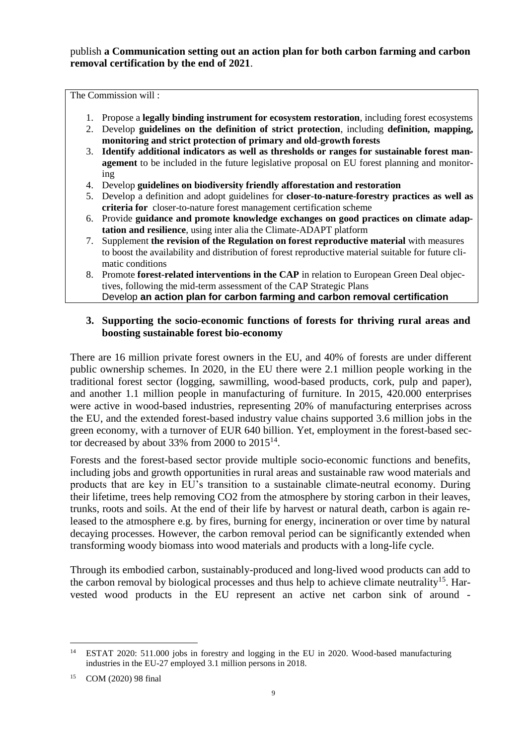publish **a Communication setting out an action plan for both carbon farming and carbon removal certification by the end of 2021**.

The Commission will :

- 1. Propose a **legally binding instrument for ecosystem restoration**, including forest ecosystems
- 2. Develop **guidelines on the definition of strict protection**, including **definition, mapping, monitoring and strict protection of primary and old-growth forests**
- 3. **Identify additional indicators as well as thresholds or ranges for sustainable forest management** to be included in the future legislative proposal on EU forest planning and monitoring
- 4. Develop **guidelines on biodiversity friendly afforestation and restoration**
- 5. Develop a definition and adopt guidelines for **closer-to-nature-forestry practices as well as criteria for** closer-to-nature forest management certification scheme
- 6. Provide **guidance and promote knowledge exchanges on good practices on climate adaptation and resilience**, using inter alia the Climate-ADAPT platform
- 7. Supplement **the revision of the Regulation on forest reproductive material** with measures to boost the availability and distribution of forest reproductive material suitable for future climatic conditions
- 8. Promote **forest-related interventions in the CAP** in relation to European Green Deal objectives, following the mid-term assessment of the CAP Strategic Plans Develop **an action plan for carbon farming and carbon removal certification**

### **3. Supporting the socio-economic functions of forests for thriving rural areas and boosting sustainable forest bio-economy**

There are 16 million private forest owners in the EU, and 40% of forests are under different public ownership schemes. In 2020, in the EU there were 2.1 million people working in the traditional forest sector (logging, sawmilling, wood-based products, cork, pulp and paper), and another 1.1 million people in manufacturing of furniture. In 2015, 420.000 enterprises were active in wood-based industries, representing 20% of manufacturing enterprises across the EU, and the extended forest-based industry value chains supported 3.6 million jobs in the green economy, with a turnover of EUR 640 billion. Yet, employment in the forest-based sector decreased by about 33% from 2000 to  $2015^{14}$ .

Forests and the forest-based sector provide multiple socio-economic functions and benefits, including jobs and growth opportunities in rural areas and sustainable raw wood materials and products that are key in EU's transition to a sustainable climate-neutral economy. During their lifetime, trees help removing CO2 from the atmosphere by storing carbon in their leaves, trunks, roots and soils. At the end of their life by harvest or natural death, carbon is again released to the atmosphere e.g. by fires, burning for energy, incineration or over time by natural decaying processes. However, the carbon removal period can be significantly extended when transforming woody biomass into wood materials and products with a long-life cycle.

Through its embodied carbon, sustainably-produced and long-lived wood products can add to the carbon removal by biological processes and thus help to achieve climate neutrality<sup>15</sup>. Harvested wood products in the EU represent an active net carbon sink of around -

<sup>&</sup>lt;sup>14</sup> ESTAT 2020: 511.000 jobs in forestry and logging in the EU in 2020. Wood-based manufacturing industries in the EU-27 employed 3.1 million persons in 2018.

<sup>15</sup> COM (2020) 98 final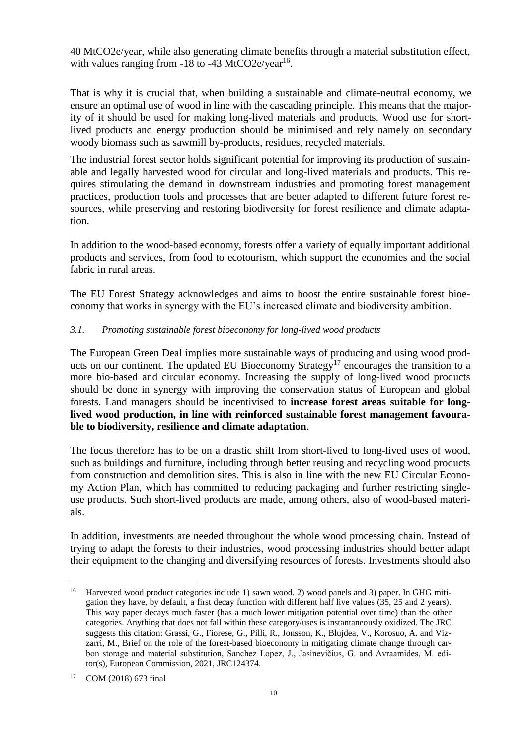40 MtCO2e/year, while also generating climate benefits through a material substitution effect, with values ranging from  $-18$  to  $-43$  MtCO2e/year<sup>16</sup>.

That is why it is crucial that, when building a sustainable and climate-neutral economy, we ensure an optimal use of wood in line with the cascading principle. This means that the majority of it should be used for making long-lived materials and products. Wood use for shortlived products and energy production should be minimised and rely namely on secondary woody biomass such as sawmill by-products, residues, recycled materials.

The industrial forest sector holds significant potential for improving its production of sustainable and legally harvested wood for circular and long-lived materials and products. This requires stimulating the demand in downstream industries and promoting forest management practices, production tools and processes that are better adapted to different future forest resources, while preserving and restoring biodiversity for forest resilience and climate adaptation.

In addition to the wood-based economy, forests offer a variety of equally important additional products and services, from food to ecotourism, which support the economies and the social fabric in rural areas.

The EU Forest Strategy acknowledges and aims to boost the entire sustainable forest bioeconomy that works in synergy with the EU's increased climate and biodiversity ambition.

## *3.1. Promoting sustainable forest bioeconomy for long-lived wood products*

The European Green Deal implies more sustainable ways of producing and using wood products on our continent. The updated EU Bioeconomy Strategy<sup>17</sup> encourages the transition to a more bio-based and circular economy. Increasing the supply of long-lived wood products should be done in synergy with improving the conservation status of European and global forests. Land managers should be incentivised to **increase forest areas suitable for longlived wood production, in line with reinforced sustainable forest management favourable to biodiversity, resilience and climate adaptation**.

The focus therefore has to be on a drastic shift from short-lived to long-lived uses of wood, such as buildings and furniture, including through better reusing and recycling wood products from construction and demolition sites. This is also in line with the new EU Circular Economy Action Plan, which has committed to reducing packaging and further restricting singleuse products. Such short-lived products are made, among others, also of wood-based materials.

In addition, investments are needed throughout the whole wood processing chain. Instead of trying to adapt the forests to their industries, wood processing industries should better adapt their equipment to the changing and diversifying resources of forests. Investments should also

 $\overline{a}$ <sup>16</sup> Harvested wood product categories include 1) sawn wood, 2) wood panels and 3) paper. In GHG mitigation they have, by default, a first decay function with different half live values (35, 25 and 2 years). This way paper decays much faster (has a much lower mitigation potential over time) than the other categories. Anything that does not fall within these category/uses is instantaneously oxidized. The JRC suggests this citation: Grassi, G., Fiorese, G., Pilli, R., Jonsson, K., Blujdea, V., Korosuo, A. and Vizzarri, M., Brief on the role of the forest-based bioeconomy in mitigating climate change through carbon storage and material substitution, Sanchez Lopez, J., Jasinevičius, G. and Avraamides, M. editor(s), European Commission, 2021, JRC124374.

<sup>17</sup> COM (2018) 673 final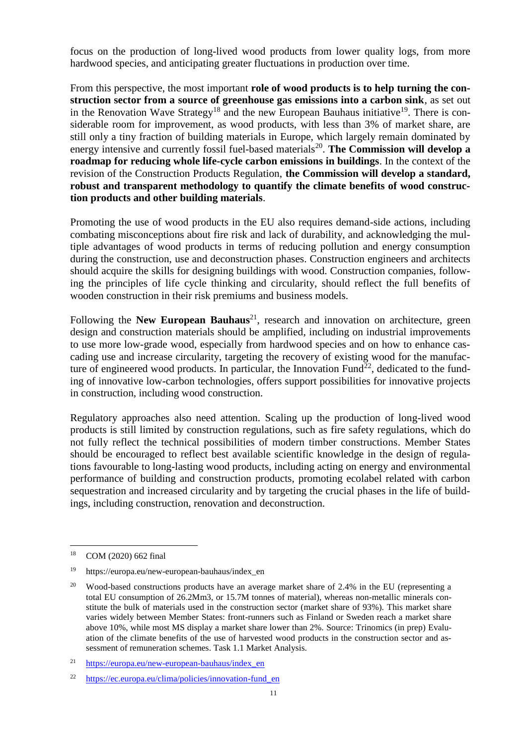focus on the production of long-lived wood products from lower quality logs, from more hardwood species, and anticipating greater fluctuations in production over time.

From this perspective, the most important **role of wood products is to help turning the construction sector from a source of greenhouse gas emissions into a carbon sink**, as set out in the Renovation Wave Strategy<sup>18</sup> and the new European Bauhaus initiative<sup>19</sup>. There is considerable room for improvement, as wood products, with less than 3% of market share, are still only a tiny fraction of building materials in Europe, which largely remain dominated by energy intensive and currently fossil fuel-based materials<sup>20</sup>. The Commission will develop a **roadmap for reducing whole life-cycle carbon emissions in buildings**. In the context of the revision of the Construction Products Regulation, **the Commission will develop a standard, robust and transparent methodology to quantify the climate benefits of wood construction products and other building materials**.

Promoting the use of wood products in the EU also requires demand-side actions, including combating misconceptions about fire risk and lack of durability, and acknowledging the multiple advantages of wood products in terms of reducing pollution and energy consumption during the construction, use and deconstruction phases. Construction engineers and architects should acquire the skills for designing buildings with wood. Construction companies, following the principles of life cycle thinking and circularity, should reflect the full benefits of wooden construction in their risk premiums and business models.

Following the **New European Bauhaus**<sup>21</sup>, research and innovation on architecture, green design and construction materials should be amplified, including on industrial improvements to use more low-grade wood, especially from hardwood species and on how to enhance cascading use and increase circularity, targeting the recovery of existing wood for the manufacture of engineered wood products. In particular, the Innovation Fund<sup>22</sup>, dedicated to the funding of innovative low-carbon technologies, offers support possibilities for innovative projects in construction, including wood construction.

Regulatory approaches also need attention. Scaling up the production of long-lived wood products is still limited by construction regulations, such as fire safety regulations, which do not fully reflect the technical possibilities of modern timber constructions. Member States should be encouraged to reflect best available scientific knowledge in the design of regulations favourable to long-lasting wood products, including acting on energy and environmental performance of building and construction products, promoting ecolabel related with carbon sequestration and increased circularity and by targeting the crucial phases in the life of buildings, including construction, renovation and deconstruction.

<sup>18</sup> COM (2020) 662 final

<sup>19</sup> https://europa.eu/new-european-bauhaus/index\_en

<sup>&</sup>lt;sup>20</sup> Wood-based constructions products have an average market share of 2.4% in the EU (representing a total EU consumption of 26.2Mm3, or 15.7M tonnes of material), whereas non-metallic minerals constitute the bulk of materials used in the construction sector (market share of 93%). This market share varies widely between Member States: front-runners such as Finland or Sweden reach a market share above 10%, while most MS display a market share lower than 2%. Source: Trinomics (in prep) Evaluation of the climate benefits of the use of harvested wood products in the construction sector and assessment of remuneration schemes. Task 1.1 Market Analysis.

<sup>21</sup> [https://europa.eu/new-european-bauhaus/index\\_en](https://europa.eu/new-european-bauhaus/index_en)

<sup>&</sup>lt;sup>22</sup> [https://ec.europa.eu/clima/policies/innovation-fund\\_en](https://ec.europa.eu/clima/policies/innovation-fund_en)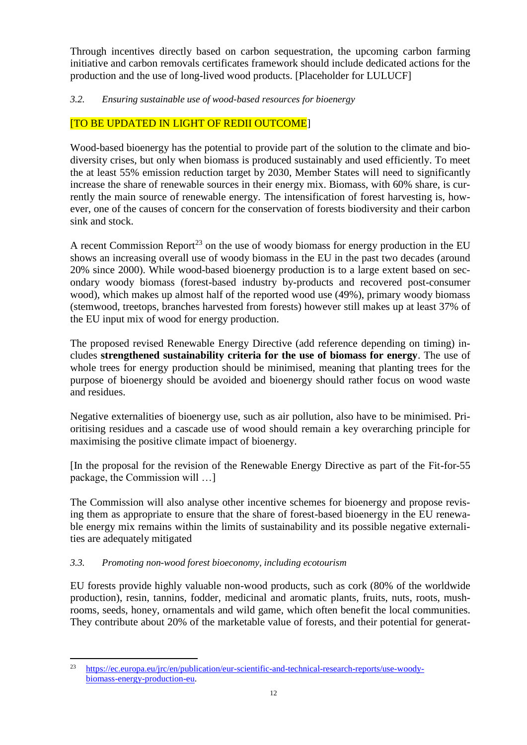Through incentives directly based on carbon sequestration, the upcoming carbon farming initiative and carbon removals certificates framework should include dedicated actions for the production and the use of long-lived wood products. [Placeholder for LULUCF]

## *3.2. Ensuring sustainable use of wood-based resources for bioenergy*

# [TO BE UPDATED IN LIGHT OF REDII OUTCOME]

Wood-based bioenergy has the potential to provide part of the solution to the climate and biodiversity crises, but only when biomass is produced sustainably and used efficiently. To meet the at least 55% emission reduction target by 2030, Member States will need to significantly increase the share of renewable sources in their energy mix. Biomass, with 60% share, is currently the main source of renewable energy. The intensification of forest harvesting is, however, one of the causes of concern for the conservation of forests biodiversity and their carbon sink and stock.

A recent Commission Report<sup>23</sup> on the use of woody biomass for energy production in the EU shows an increasing overall use of woody biomass in the EU in the past two decades (around 20% since 2000). While wood-based bioenergy production is to a large extent based on secondary woody biomass (forest-based industry by-products and recovered post-consumer wood), which makes up almost half of the reported wood use (49%), primary woody biomass (stemwood, treetops, branches harvested from forests) however still makes up at least 37% of the EU input mix of wood for energy production.

The proposed revised Renewable Energy Directive (add reference depending on timing) includes **strengthened sustainability criteria for the use of biomass for energy**. The use of whole trees for energy production should be minimised, meaning that planting trees for the purpose of bioenergy should be avoided and bioenergy should rather focus on wood waste and residues.

Negative externalities of bioenergy use, such as air pollution, also have to be minimised. Prioritising residues and a cascade use of wood should remain a key overarching principle for maximising the positive climate impact of bioenergy.

[In the proposal for the revision of the Renewable Energy Directive as part of the Fit-for-55 package, the Commission will …]

The Commission will also analyse other incentive schemes for bioenergy and propose revising them as appropriate to ensure that the share of forest-based bioenergy in the EU renewable energy mix remains within the limits of sustainability and its possible negative externalities are adequately mitigated

### *3.3. Promoting non-wood forest bioeconomy, including ecotourism*

 $\overline{a}$ 

EU forests provide highly valuable non-wood products, such as cork (80% of the worldwide production), resin, tannins, fodder, medicinal and aromatic plants, fruits, nuts, roots, mushrooms, seeds, honey, ornamentals and wild game, which often benefit the local communities. They contribute about 20% of the marketable value of forests, and their potential for generat-

<sup>23</sup> [https://ec.europa.eu/jrc/en/publication/eur-scientific-and-technical-research-reports/use-woody](https://ec.europa.eu/jrc/en/publication/eur-scientific-and-technical-research-reports/use-woody-biomass-energy-production-eu)[biomass-energy-production-eu.](https://ec.europa.eu/jrc/en/publication/eur-scientific-and-technical-research-reports/use-woody-biomass-energy-production-eu)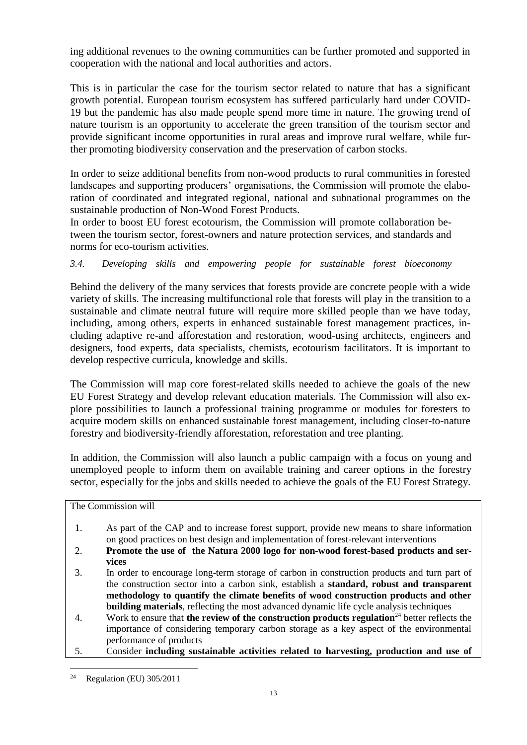ing additional revenues to the owning communities can be further promoted and supported in cooperation with the national and local authorities and actors.

This is in particular the case for the tourism sector related to nature that has a significant growth potential. European tourism ecosystem has suffered particularly hard under COVID-19 but the pandemic has also made people spend more time in nature. The growing trend of nature tourism is an opportunity to accelerate the green transition of the tourism sector and provide significant income opportunities in rural areas and improve rural welfare, while further promoting biodiversity conservation and the preservation of carbon stocks.

In order to seize additional benefits from non-wood products to rural communities in forested landscapes and supporting producers' organisations, the Commission will promote the elaboration of coordinated and integrated regional, national and subnational programmes on the sustainable production of Non-Wood Forest Products.

In order to boost EU forest ecotourism, the Commission will promote collaboration between the tourism sector, forest-owners and nature protection services, and standards and norms for eco-tourism activities.

# *3.4. Developing skills and empowering people for sustainable forest bioeconomy*

Behind the delivery of the many services that forests provide are concrete people with a wide variety of skills. The increasing multifunctional role that forests will play in the transition to a sustainable and climate neutral future will require more skilled people than we have today, including, among others, experts in enhanced sustainable forest management practices, including adaptive re-and afforestation and restoration, wood-using architects, engineers and designers, food experts, data specialists, chemists, ecotourism facilitators. It is important to develop respective curricula, knowledge and skills.

The Commission will map core forest-related skills needed to achieve the goals of the new EU Forest Strategy and develop relevant education materials. The Commission will also explore possibilities to launch a professional training programme or modules for foresters to acquire modern skills on enhanced sustainable forest management, including closer-to-nature forestry and biodiversity-friendly afforestation, reforestation and tree planting.

In addition, the Commission will also launch a public campaign with a focus on young and unemployed people to inform them on available training and career options in the forestry sector, especially for the jobs and skills needed to achieve the goals of the EU Forest Strategy.

The Commission will

- 1. As part of the CAP and to increase forest support, provide new means to share information on good practices on best design and implementation of forest-relevant interventions
- 2. **Promote the use of the Natura 2000 logo for non-wood forest-based products and services**
- 3. In order to encourage long-term storage of carbon in construction products and turn part of the construction sector into a carbon sink, establish a **standard, robust and transparent methodology to quantify the climate benefits of wood construction products and other building materials**, reflecting the most advanced dynamic life cycle analysis techniques
- 4. Work to ensure that **the review of the construction products regulation**<sup>24</sup> better reflects the importance of considering temporary carbon storage as a key aspect of the environmental performance of products
- 5. Consider **including sustainable activities related to harvesting, production and use of**

 $\overline{a}$ <sup>24</sup> Regulation (EU) 305/2011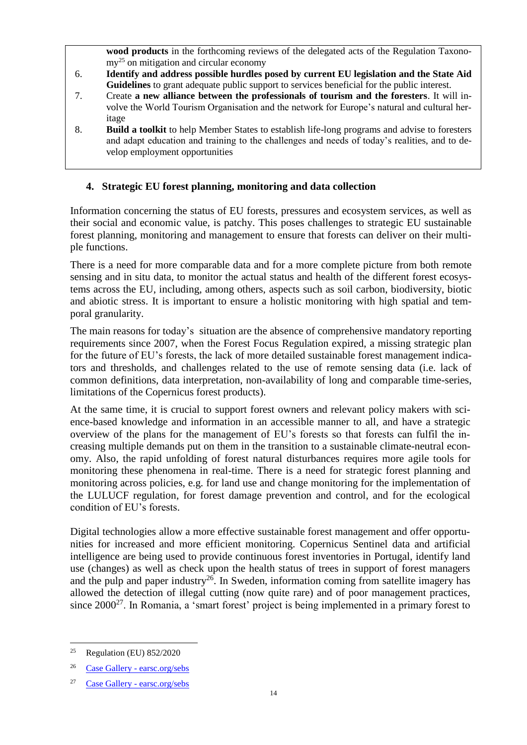**wood products** in the forthcoming reviews of the delegated acts of the Regulation Taxono $mv^{25}$  on mitigation and circular economy

- 6. **Identify and address possible hurdles posed by current EU legislation and the State Aid Guidelines** to grant adequate public support to services beneficial for the public interest.
- 7. Create **a new alliance between the professionals of tourism and the foresters**. It will involve the World Tourism Organisation and the network for Europe's natural and cultural heritage
- 8. **Build a toolkit** to help Member States to establish life-long programs and advise to foresters and adapt education and training to the challenges and needs of today's realities, and to develop employment opportunities

# **4. Strategic EU forest planning, monitoring and data collection**

Information concerning the status of EU forests, pressures and ecosystem services, as well as their social and economic value, is patchy. This poses challenges to strategic EU sustainable forest planning, monitoring and management to ensure that forests can deliver on their multiple functions.

There is a need for more comparable data and for a more complete picture from both remote sensing and in situ data, to monitor the actual status and health of the different forest ecosystems across the EU, including, among others, aspects such as soil carbon, biodiversity, biotic and abiotic stress. It is important to ensure a holistic monitoring with high spatial and temporal granularity.

The main reasons for today's situation are the absence of comprehensive mandatory reporting requirements since 2007, when the Forest Focus Regulation expired, a missing strategic plan for the future of EU's forests, the lack of more detailed sustainable forest management indicators and thresholds, and challenges related to the use of remote sensing data (i.e. lack of common definitions, data interpretation, non-availability of long and comparable time-series, limitations of the Copernicus forest products).

At the same time, it is crucial to support forest owners and relevant policy makers with science-based knowledge and information in an accessible manner to all, and have a strategic overview of the plans for the management of EU's forests so that forests can fulfil the increasing multiple demands put on them in the transition to a sustainable climate-neutral economy. Also, the rapid unfolding of forest natural disturbances requires more agile tools for monitoring these phenomena in real-time. There is a need for strategic forest planning and monitoring across policies, e.g. for land use and change monitoring for the implementation of the LULUCF regulation, for forest damage prevention and control, and for the ecological condition of EU's forests.

Digital technologies allow a more effective sustainable forest management and offer opportunities for increased and more efficient monitoring. Copernicus Sentinel data and artificial intelligence are being used to provide continuous forest inventories in Portugal, identify land use (changes) as well as check upon the health status of trees in support of forest managers and the pulp and paper industry<sup>26</sup>. In Sweden, information coming from satellite imagery has allowed the detection of illegal cutting (now quite rare) and of poor management practices, since  $2000^{27}$ . In Romania, a 'smart forest' project is being implemented in a primary forest to

<sup>25</sup> Regulation (EU) 852/2020

<sup>26</sup> [Case Gallery -](https://earsc.org/sebs/all-cases/) earsc.org/sebs

<sup>27</sup> [Case Gallery -](https://earsc.org/sebs/all-cases/) earsc.org/sebs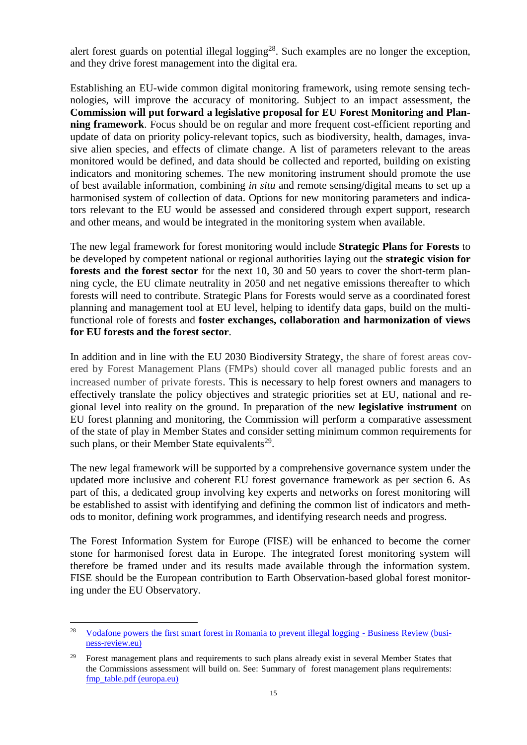alert forest guards on potential illegal  $\log\frac{28}{8}$ . Such examples are no longer the exception, and they drive forest management into the digital era.

Establishing an EU-wide common digital monitoring framework, using remote sensing technologies, will improve the accuracy of monitoring. Subject to an impact assessment, the **Commission will put forward a legislative proposal for EU Forest Monitoring and Planning framework**. Focus should be on regular and more frequent cost-efficient reporting and update of data on priority policy-relevant topics, such as biodiversity, health, damages, invasive alien species, and effects of climate change. A list of parameters relevant to the areas monitored would be defined, and data should be collected and reported, building on existing indicators and monitoring schemes. The new monitoring instrument should promote the use of best available information, combining *in situ* and remote sensing/digital means to set up a harmonised system of collection of data. Options for new monitoring parameters and indicators relevant to the EU would be assessed and considered through expert support, research and other means, and would be integrated in the monitoring system when available.

The new legal framework for forest monitoring would include **Strategic Plans for Forests** to be developed by competent national or regional authorities laying out the **strategic vision for forests and the forest sector** for the next 10, 30 and 50 years to cover the short-term planning cycle, the EU climate neutrality in 2050 and net negative emissions thereafter to which forests will need to contribute. Strategic Plans for Forests would serve as a coordinated forest planning and management tool at EU level, helping to identify data gaps, build on the multifunctional role of forests and **foster exchanges, collaboration and harmonization of views for EU forests and the forest sector**.

In addition and in line with the EU 2030 Biodiversity Strategy, the share of forest areas covered by Forest Management Plans (FMPs) should cover all managed public forests and an increased number of private forests. This is necessary to help forest owners and managers to effectively translate the policy objectives and strategic priorities set at EU, national and regional level into reality on the ground. In preparation of the new **legislative instrument** on EU forest planning and monitoring, the Commission will perform a comparative assessment of the state of play in Member States and consider setting minimum common requirements for such plans, or their Member State equivalents<sup>29</sup>.

The new legal framework will be supported by a comprehensive governance system under the updated more inclusive and coherent EU forest governance framework as per section 6. As part of this, a dedicated group involving key experts and networks on forest monitoring will be established to assist with identifying and defining the common list of indicators and methods to monitor, defining work programmes, and identifying research needs and progress.

The Forest Information System for Europe (FISE) will be enhanced to become the corner stone for harmonised forest data in Europe. The integrated forest monitoring system will therefore be framed under and its results made available through the information system. FISE should be the European contribution to Earth Observation-based global forest monitoring under the EU Observatory.

<sup>&</sup>lt;sup>28</sup> [Vodafone powers the first smart forest in Romania to prevent illegal logging -](https://business-review.eu/tech/it/vodafone-powers-the-first-smart-forest-in-romania-to-prevent-illegal-logging-218593) Business Review (busi[ness-review.eu\)](https://business-review.eu/tech/it/vodafone-powers-the-first-smart-forest-in-romania-to-prevent-illegal-logging-218593)

<sup>&</sup>lt;sup>29</sup> Forest management plans and requirements to such plans already exist in several Member States that the Commissions assessment will build on. See: Summary of forest management plans requirements: [fmp\\_table.pdf \(europa.eu\)](https://ec.europa.eu/environment/forests/pdf/fmp_table.pdf)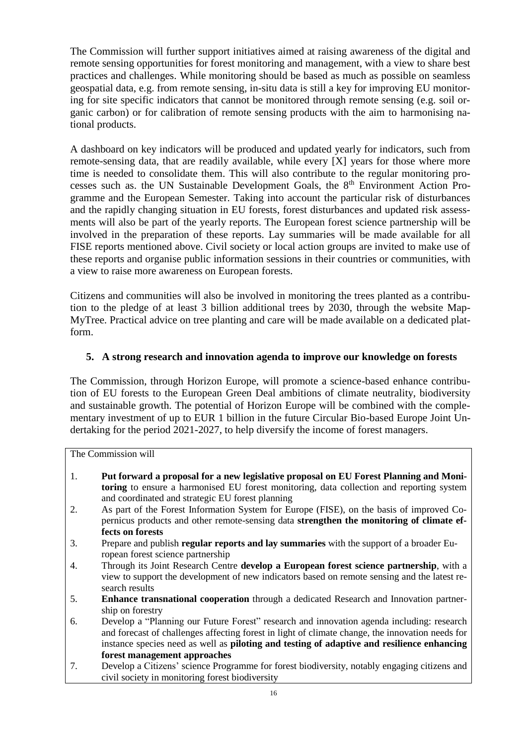The Commission will further support initiatives aimed at raising awareness of the digital and remote sensing opportunities for forest monitoring and management, with a view to share best practices and challenges. While monitoring should be based as much as possible on seamless geospatial data, e.g. from remote sensing, in-situ data is still a key for improving EU monitoring for site specific indicators that cannot be monitored through remote sensing (e.g. soil organic carbon) or for calibration of remote sensing products with the aim to harmonising national products.

A dashboard on key indicators will be produced and updated yearly for indicators, such from remote-sensing data, that are readily available, while every [X] years for those where more time is needed to consolidate them. This will also contribute to the regular monitoring processes such as. the UN Sustainable Development Goals, the 8<sup>th</sup> Environment Action Programme and the European Semester. Taking into account the particular risk of disturbances and the rapidly changing situation in EU forests, forest disturbances and updated risk assessments will also be part of the yearly reports. The European forest science partnership will be involved in the preparation of these reports. Lay summaries will be made available for all FISE reports mentioned above. Civil society or local action groups are invited to make use of these reports and organise public information sessions in their countries or communities, with a view to raise more awareness on European forests.

Citizens and communities will also be involved in monitoring the trees planted as a contribution to the pledge of at least 3 billion additional trees by 2030, through the website Map-MyTree. Practical advice on tree planting and care will be made available on a dedicated platform.

# **5. A strong research and innovation agenda to improve our knowledge on forests**

The Commission, through Horizon Europe, will promote a science-based enhance contribution of EU forests to the European Green Deal ambitions of climate neutrality, biodiversity and sustainable growth. The potential of Horizon Europe will be combined with the complementary investment of up to EUR 1 billion in the future Circular Bio-based Europe Joint Undertaking for the period 2021-2027, to help diversify the income of forest managers.

The Commission will

- 1. **Put forward a proposal for a new legislative proposal on EU Forest Planning and Monitoring** to ensure a harmonised EU forest monitoring, data collection and reporting system and coordinated and strategic EU forest planning
- 2. As part of the Forest Information System for Europe (FISE), on the basis of improved Copernicus products and other remote-sensing data **strengthen the monitoring of climate effects on forests**
- 3. Prepare and publish **regular reports and lay summaries** with the support of a broader European forest science partnership
- 4. Through its Joint Research Centre **develop a European forest science partnership**, with a view to support the development of new indicators based on remote sensing and the latest research results
- 5. **Enhance transnational cooperation** through a dedicated Research and Innovation partnership on forestry
- 6. Develop a "Planning our Future Forest" research and innovation agenda including: research and forecast of challenges affecting forest in light of climate change, the innovation needs for instance species need as well as **piloting and testing of adaptive and resilience enhancing forest management approaches**
- 7. Develop a Citizens' science Programme for forest biodiversity, notably engaging citizens and civil society in monitoring forest biodiversity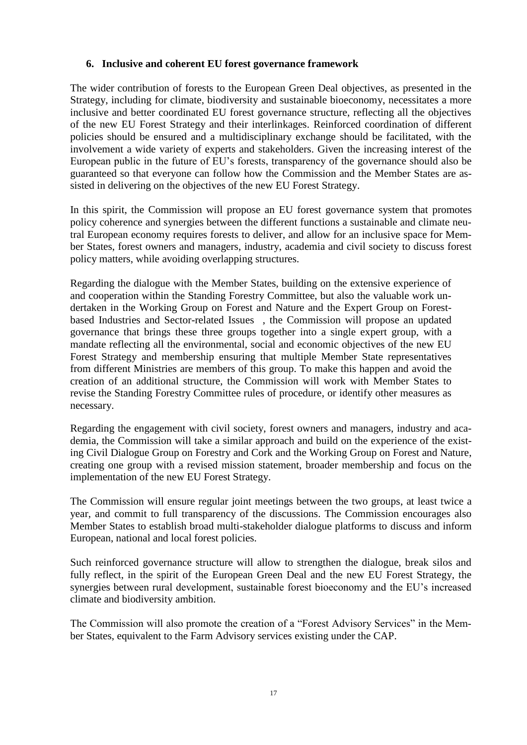### **6. Inclusive and coherent EU forest governance framework**

The wider contribution of forests to the European Green Deal objectives, as presented in the Strategy, including for climate, biodiversity and sustainable bioeconomy, necessitates a more inclusive and better coordinated EU forest governance structure, reflecting all the objectives of the new EU Forest Strategy and their interlinkages. Reinforced coordination of different policies should be ensured and a multidisciplinary exchange should be facilitated, with the involvement a wide variety of experts and stakeholders. Given the increasing interest of the European public in the future of EU's forests, transparency of the governance should also be guaranteed so that everyone can follow how the Commission and the Member States are assisted in delivering on the objectives of the new EU Forest Strategy.

In this spirit, the Commission will propose an EU forest governance system that promotes policy coherence and synergies between the different functions a sustainable and climate neutral European economy requires forests to deliver, and allow for an inclusive space for Member States, forest owners and managers, industry, academia and civil society to discuss forest policy matters, while avoiding overlapping structures.

Regarding the dialogue with the Member States, building on the extensive experience of and cooperation within the Standing Forestry Committee, but also the valuable work undertaken in the Working Group on Forest and Nature and the Expert Group on Forestbased Industries and Sector-related Issues , the Commission will propose an updated governance that brings these three groups together into a single expert group, with a mandate reflecting all the environmental, social and economic objectives of the new EU Forest Strategy and membership ensuring that multiple Member State representatives from different Ministries are members of this group. To make this happen and avoid the creation of an additional structure, the Commission will work with Member States to revise the Standing Forestry Committee rules of procedure, or identify other measures as necessary.

Regarding the engagement with civil society, forest owners and managers, industry and academia, the Commission will take a similar approach and build on the experience of the existing Civil Dialogue Group on Forestry and Cork and the Working Group on Forest and Nature, creating one group with a revised mission statement, broader membership and focus on the implementation of the new EU Forest Strategy.

The Commission will ensure regular joint meetings between the two groups, at least twice a year, and commit to full transparency of the discussions. The Commission encourages also Member States to establish broad multi-stakeholder dialogue platforms to discuss and inform European, national and local forest policies.

Such reinforced governance structure will allow to strengthen the dialogue, break silos and fully reflect, in the spirit of the European Green Deal and the new EU Forest Strategy, the synergies between rural development, sustainable forest bioeconomy and the EU's increased climate and biodiversity ambition.

The Commission will also promote the creation of a "Forest Advisory Services" in the Member States, equivalent to the Farm Advisory services existing under the CAP.